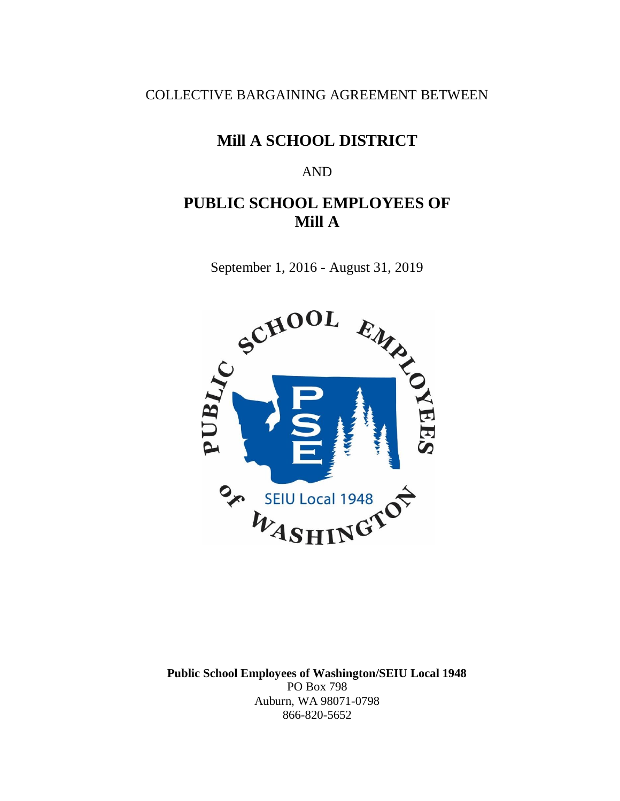COLLECTIVE BARGAINING AGREEMENT BETWEEN

# **Mill A SCHOOL DISTRICT**

#### AND

# **PUBLIC SCHOOL EMPLOYEES OF Mill A**

September 1, 2016 - August 31, 2019



**Public School Employees of Washington/SEIU Local 1948** PO Box 798 Auburn, WA 98071-0798 866-820-5652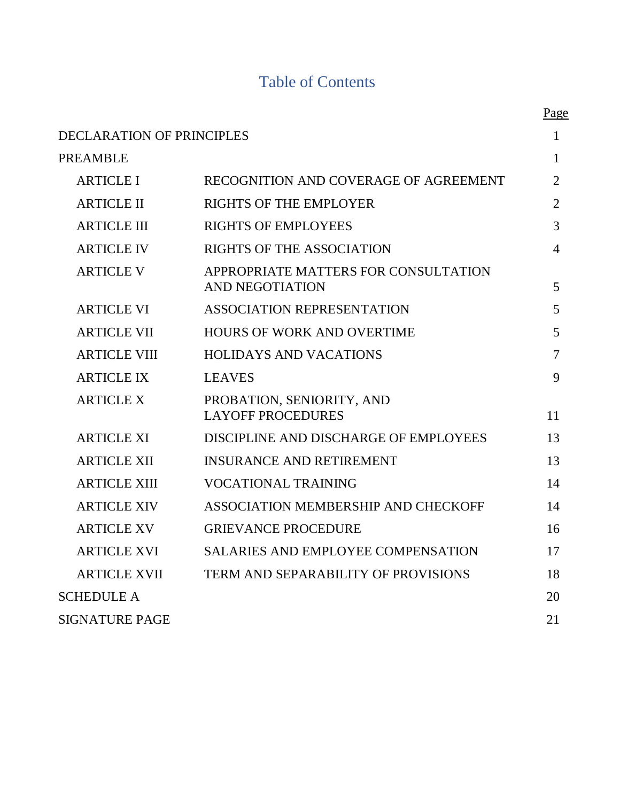# Table of Contents

|                                  |                                                         | Page           |
|----------------------------------|---------------------------------------------------------|----------------|
| <b>DECLARATION OF PRINCIPLES</b> |                                                         | 1              |
| <b>PREAMBLE</b>                  |                                                         | 1              |
| <b>ARTICLE I</b>                 | RECOGNITION AND COVERAGE OF AGREEMENT                   | $\overline{2}$ |
| <b>ARTICLE II</b>                | <b>RIGHTS OF THE EMPLOYER</b>                           | $\overline{2}$ |
| <b>ARTICLE III</b>               | <b>RIGHTS OF EMPLOYEES</b>                              | 3              |
| <b>ARTICLE IV</b>                | RIGHTS OF THE ASSOCIATION                               | 4              |
| <b>ARTICLE V</b>                 | APPROPRIATE MATTERS FOR CONSULTATION<br>AND NEGOTIATION | 5              |
| <b>ARTICLE VI</b>                | <b>ASSOCIATION REPRESENTATION</b>                       | 5              |
| <b>ARTICLE VII</b>               | <b>HOURS OF WORK AND OVERTIME</b>                       | 5              |
| <b>ARTICLE VIII</b>              | <b>HOLIDAYS AND VACATIONS</b>                           | 7              |
| <b>ARTICLE IX</b>                | <b>LEAVES</b>                                           | 9              |
| <b>ARTICLE X</b>                 | PROBATION, SENIORITY, AND<br><b>LAYOFF PROCEDURES</b>   | 11             |
| <b>ARTICLE XI</b>                | DISCIPLINE AND DISCHARGE OF EMPLOYEES                   | 13             |
| <b>ARTICLE XII</b>               | <b>INSURANCE AND RETIREMENT</b>                         | 13             |
| <b>ARTICLE XIII</b>              | <b>VOCATIONAL TRAINING</b>                              | 14             |
| <b>ARTICLE XIV</b>               | ASSOCIATION MEMBERSHIP AND CHECKOFF                     | 14             |
| <b>ARTICLE XV</b>                | <b>GRIEVANCE PROCEDURE</b>                              | 16             |
| <b>ARTICLE XVI</b>               | <b>SALARIES AND EMPLOYEE COMPENSATION</b>               | 17             |
| <b>ARTICLE XVII</b>              | <b>TERM AND SEPARABILITY OF PROVISIONS</b>              | 18             |
| <b>SCHEDULE A</b>                |                                                         | 20             |
| <b>SIGNATURE PAGE</b>            |                                                         | 21             |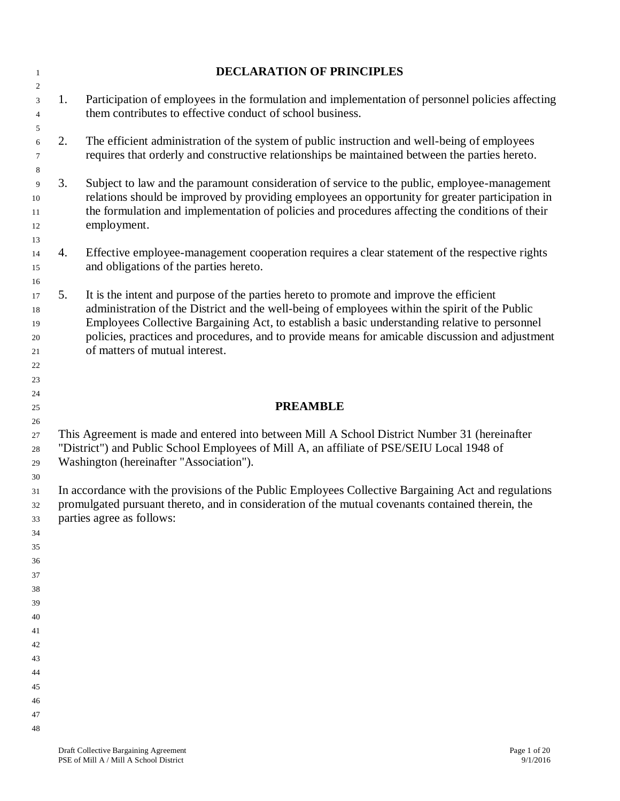| $\mathbf{1}$                                   |    | <b>DECLARATION OF PRINCIPLES</b>                                                                                                                                                                                                                                                                                                                                                                                                |
|------------------------------------------------|----|---------------------------------------------------------------------------------------------------------------------------------------------------------------------------------------------------------------------------------------------------------------------------------------------------------------------------------------------------------------------------------------------------------------------------------|
| $\overline{c}$<br>$\mathfrak{Z}$               | 1. | Participation of employees in the formulation and implementation of personnel policies affecting                                                                                                                                                                                                                                                                                                                                |
| $\overline{4}$<br>5                            |    | them contributes to effective conduct of school business.                                                                                                                                                                                                                                                                                                                                                                       |
| 6<br>$\tau$                                    | 2. | The efficient administration of the system of public instruction and well-being of employees<br>requires that orderly and constructive relationships be maintained between the parties hereto.                                                                                                                                                                                                                                  |
| 8<br>9<br>10<br>11<br>12<br>13                 | 3. | Subject to law and the paramount consideration of service to the public, employee-management<br>relations should be improved by providing employees an opportunity for greater participation in<br>the formulation and implementation of policies and procedures affecting the conditions of their<br>employment.                                                                                                               |
| 14<br>15<br>16                                 | 4. | Effective employee-management cooperation requires a clear statement of the respective rights<br>and obligations of the parties hereto.                                                                                                                                                                                                                                                                                         |
| 17<br>18<br>19<br>20<br>$21\,$<br>22<br>$23\,$ | 5. | It is the intent and purpose of the parties hereto to promote and improve the efficient<br>administration of the District and the well-being of employees within the spirit of the Public<br>Employees Collective Bargaining Act, to establish a basic understanding relative to personnel<br>policies, practices and procedures, and to provide means for amicable discussion and adjustment<br>of matters of mutual interest. |
| 24                                             |    |                                                                                                                                                                                                                                                                                                                                                                                                                                 |
| $25\,$                                         |    | <b>PREAMBLE</b>                                                                                                                                                                                                                                                                                                                                                                                                                 |
| $26\,$<br>$27\,$<br>$28\,$<br>29               |    | This Agreement is made and entered into between Mill A School District Number 31 (hereinafter<br>"District") and Public School Employees of Mill A, an affiliate of PSE/SEIU Local 1948 of<br>Washington (hereinafter "Association").                                                                                                                                                                                           |
| 30<br>31<br>32<br>33                           |    | In accordance with the provisions of the Public Employees Collective Bargaining Act and regulations<br>promulgated pursuant thereto, and in consideration of the mutual covenants contained therein, the<br>parties agree as follows:                                                                                                                                                                                           |
| 34<br>35                                       |    |                                                                                                                                                                                                                                                                                                                                                                                                                                 |
| 36                                             |    |                                                                                                                                                                                                                                                                                                                                                                                                                                 |
| 37                                             |    |                                                                                                                                                                                                                                                                                                                                                                                                                                 |
| 38                                             |    |                                                                                                                                                                                                                                                                                                                                                                                                                                 |
| 39                                             |    |                                                                                                                                                                                                                                                                                                                                                                                                                                 |
| 40<br>41                                       |    |                                                                                                                                                                                                                                                                                                                                                                                                                                 |
| 42                                             |    |                                                                                                                                                                                                                                                                                                                                                                                                                                 |
| 43                                             |    |                                                                                                                                                                                                                                                                                                                                                                                                                                 |
| 44                                             |    |                                                                                                                                                                                                                                                                                                                                                                                                                                 |
| 45                                             |    |                                                                                                                                                                                                                                                                                                                                                                                                                                 |
| 46                                             |    |                                                                                                                                                                                                                                                                                                                                                                                                                                 |
| 47                                             |    |                                                                                                                                                                                                                                                                                                                                                                                                                                 |
| 48                                             |    |                                                                                                                                                                                                                                                                                                                                                                                                                                 |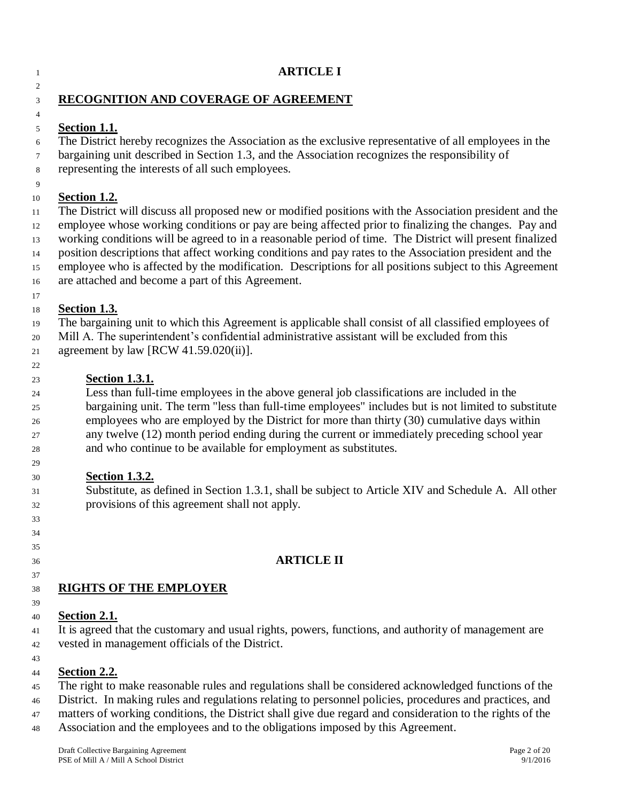#### **ARTICLE I**

#### **RECOGNITION AND COVERAGE OF AGREEMENT**

#### **Section 1.1.**

The District hereby recognizes the Association as the exclusive representative of all employees in the

- bargaining unit described in Section 1.3, and the Association recognizes the responsibility of
- representing the interests of all such employees.

#### **Section 1.2.**

 The District will discuss all proposed new or modified positions with the Association president and the employee whose working conditions or pay are being affected prior to finalizing the changes. Pay and working conditions will be agreed to in a reasonable period of time. The District will present finalized position descriptions that affect working conditions and pay rates to the Association president and the employee who is affected by the modification. Descriptions for all positions subject to this Agreement are attached and become a part of this Agreement.

 

#### **Section 1.3.**

 The bargaining unit to which this Agreement is applicable shall consist of all classified employees of Mill A. The superintendent's confidential administrative assistant will be excluded from this agreement by law [RCW 41.59.020(ii)].

## **Section 1.3.1.**

 Less than full-time employees in the above general job classifications are included in the bargaining unit. The term "less than full-time employees" includes but is not limited to substitute employees who are employed by the District for more than thirty (30) cumulative days within any twelve (12) month period ending during the current or immediately preceding school year and who continue to be available for employment as substitutes.

#### **Section 1.3.2.**

 Substitute, as defined in Section 1.3.1, shall be subject to Article XIV and Schedule A. All other provisions of this agreement shall not apply.

#### **ARTICLE II**

# **RIGHTS OF THE EMPLOYER**

#### **Section 2.1.**

 It is agreed that the customary and usual rights, powers, functions, and authority of management are vested in management officials of the District.

#### **Section 2.2.**

The right to make reasonable rules and regulations shall be considered acknowledged functions of the

- District. In making rules and regulations relating to personnel policies, procedures and practices, and
- matters of working conditions, the District shall give due regard and consideration to the rights of the
- Association and the employees and to the obligations imposed by this Agreement.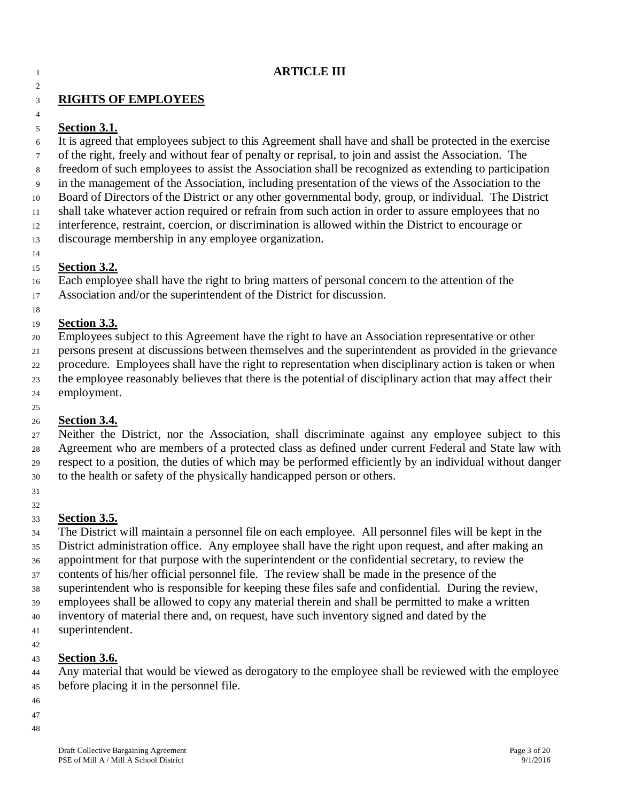#### **ARTICLE III**

#### **RIGHTS OF EMPLOYEES**

#### **Section 3.1.**

 It is agreed that employees subject to this Agreement shall have and shall be protected in the exercise of the right, freely and without fear of penalty or reprisal, to join and assist the Association. The freedom of such employees to assist the Association shall be recognized as extending to participation in the management of the Association, including presentation of the views of the Association to the Board of Directors of the District or any other governmental body, group, or individual. The District shall take whatever action required or refrain from such action in order to assure employees that no interference, restraint, coercion, or discrimination is allowed within the District to encourage or discourage membership in any employee organization.

#### 

#### **Section 3.2.**

Each employee shall have the right to bring matters of personal concern to the attention of the

Association and/or the superintendent of the District for discussion.

#### **Section 3.3.**

Employees subject to this Agreement have the right to have an Association representative or other

 persons present at discussions between themselves and the superintendent as provided in the grievance procedure. Employees shall have the right to representation when disciplinary action is taken or when

the employee reasonably believes that there is the potential of disciplinary action that may affect their

- employment.
- 

#### **Section 3.4.**

 Neither the District, nor the Association, shall discriminate against any employee subject to this Agreement who are members of a protected class as defined under current Federal and State law with respect to a position, the duties of which may be performed efficiently by an individual without danger to the health or safety of the physically handicapped person or others.

 

# **Section 3.5.**

 The District will maintain a personnel file on each employee. All personnel files will be kept in the District administration office. Any employee shall have the right upon request, and after making an appointment for that purpose with the superintendent or the confidential secretary, to review the contents of his/her official personnel file. The review shall be made in the presence of the superintendent who is responsible for keeping these files safe and confidential. During the review, employees shall be allowed to copy any material therein and shall be permitted to make a written

 inventory of material there and, on request, have such inventory signed and dated by the superintendent.

#### **Section 3.6.**

 Any material that would be viewed as derogatory to the employee shall be reviewed with the employee before placing it in the personnel file.

- 
-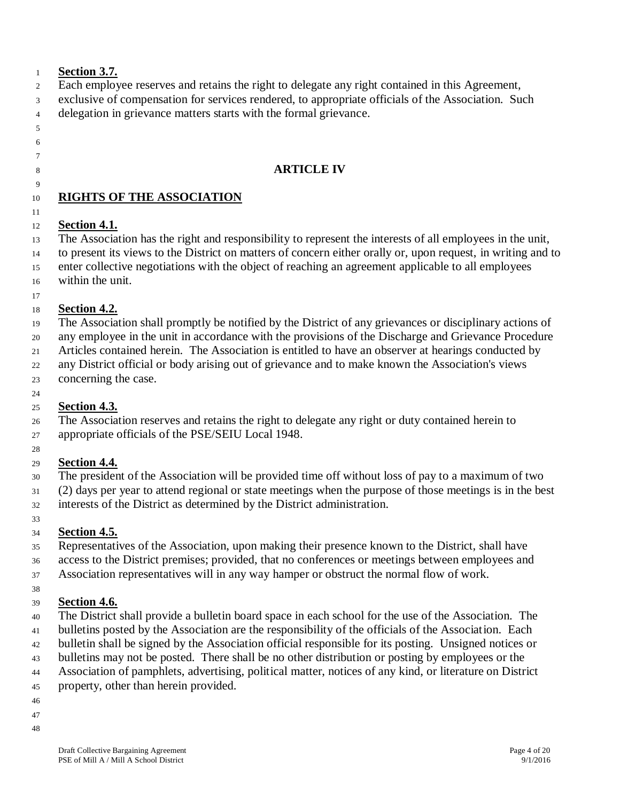#### **Section 3.7.**

- Each employee reserves and retains the right to delegate any right contained in this Agreement,
- exclusive of compensation for services rendered, to appropriate officials of the Association. Such
- delegation in grievance matters starts with the formal grievance.
- 
- 

#### 

# **ARTICLE IV**

## **RIGHTS OF THE ASSOCIATION**

# **Section 4.1.**

 The Association has the right and responsibility to represent the interests of all employees in the unit, to present its views to the District on matters of concern either orally or, upon request, in writing and to enter collective negotiations with the object of reaching an agreement applicable to all employees within the unit.

#### **Section 4.2.**

 The Association shall promptly be notified by the District of any grievances or disciplinary actions of any employee in the unit in accordance with the provisions of the Discharge and Grievance Procedure Articles contained herein. The Association is entitled to have an observer at hearings conducted by any District official or body arising out of grievance and to make known the Association's views

concerning the case.

#### **Section 4.3.**

 The Association reserves and retains the right to delegate any right or duty contained herein to appropriate officials of the PSE/SEIU Local 1948.

#### **Section 4.4.**

The president of the Association will be provided time off without loss of pay to a maximum of two

 (2) days per year to attend regional or state meetings when the purpose of those meetings is in the best interests of the District as determined by the District administration.

#### **Section 4.5.**

 Representatives of the Association, upon making their presence known to the District, shall have access to the District premises; provided, that no conferences or meetings between employees and

Association representatives will in any way hamper or obstruct the normal flow of work.

#### **Section 4.6.**

- The District shall provide a bulletin board space in each school for the use of the Association. The bulletins posted by the Association are the responsibility of the officials of the Association. Each
- bulletin shall be signed by the Association official responsible for its posting. Unsigned notices or
- bulletins may not be posted. There shall be no other distribution or posting by employees or the
- Association of pamphlets, advertising, political matter, notices of any kind, or literature on District

property, other than herein provided.

- 
-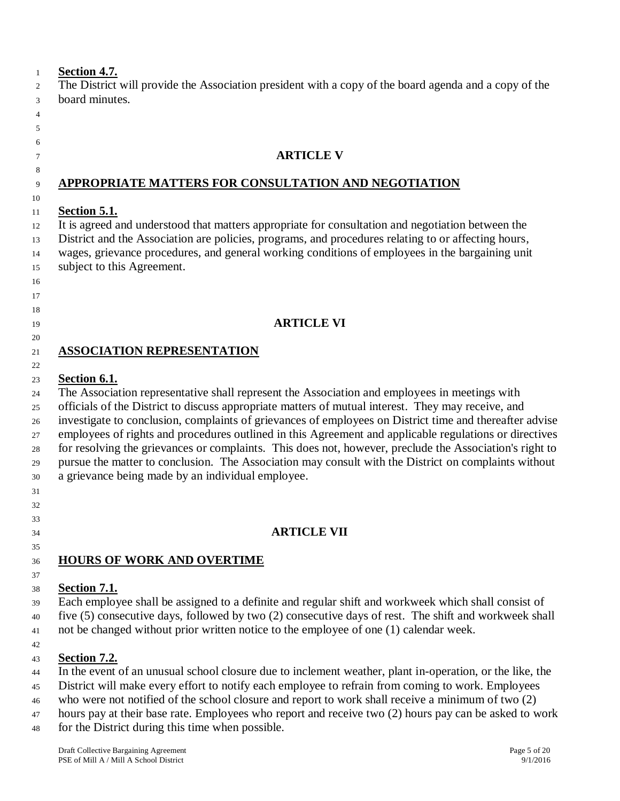#### **Section 4.7.**

 The District will provide the Association president with a copy of the board agenda and a copy of the board minutes.

#### 

#### 

# 

 

#### **ARTICLE V**

#### **APPROPRIATE MATTERS FOR CONSULTATION AND NEGOTIATION**

#### **Section 5.1.**

 It is agreed and understood that matters appropriate for consultation and negotiation between the District and the Association are policies, programs, and procedures relating to or affecting hours, wages, grievance procedures, and general working conditions of employees in the bargaining unit subject to this Agreement.

# **ARTICLE VI**

#### **ASSOCIATION REPRESENTATION**

#### **Section 6.1.**

 The Association representative shall represent the Association and employees in meetings with officials of the District to discuss appropriate matters of mutual interest. They may receive, and investigate to conclusion, complaints of grievances of employees on District time and thereafter advise employees of rights and procedures outlined in this Agreement and applicable regulations or directives for resolving the grievances or complaints. This does not, however, preclude the Association's right to pursue the matter to conclusion. The Association may consult with the District on complaints without a grievance being made by an individual employee. 

**ARTICLE VII**

#### **HOURS OF WORK AND OVERTIME**

 

#### **Section 7.1.**

 Each employee shall be assigned to a definite and regular shift and workweek which shall consist of five (5) consecutive days, followed by two (2) consecutive days of rest. The shift and workweek shall

not be changed without prior written notice to the employee of one (1) calendar week.

#### **Section 7.2.**

In the event of an unusual school closure due to inclement weather, plant in-operation, or the like, the

District will make every effort to notify each employee to refrain from coming to work. Employees

who were not notified of the school closure and report to work shall receive a minimum of two (2)

hours pay at their base rate. Employees who report and receive two (2) hours pay can be asked to work

for the District during this time when possible.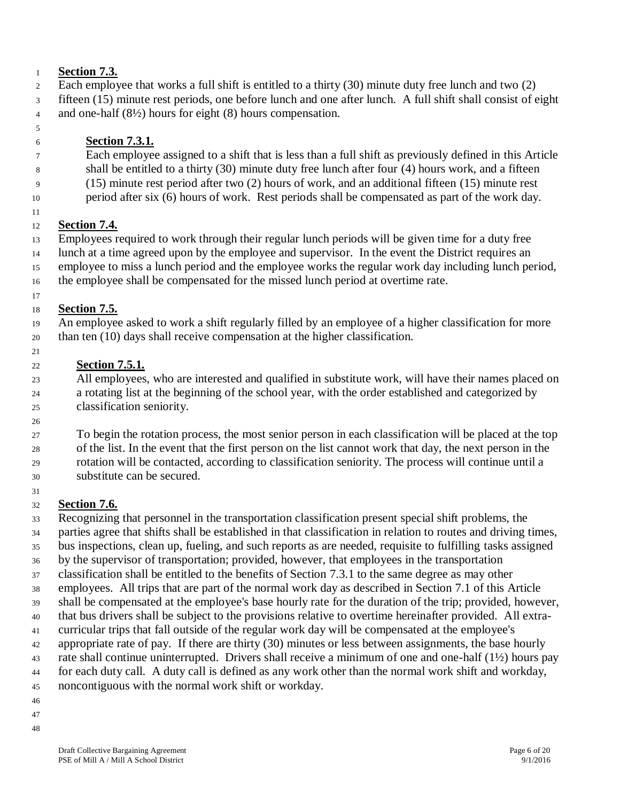#### **Section 7.3.**

- Each employee that works a full shift is entitled to a thirty (30) minute duty free lunch and two (2)
- fifteen (15) minute rest periods, one before lunch and one after lunch. A full shift shall consist of eight
- and one-half (8½) hours for eight (8) hours compensation.
- 

## **Section 7.3.1.**

- Each employee assigned to a shift that is less than a full shift as previously defined in this Article shall be entitled to a thirty (30) minute duty free lunch after four (4) hours work, and a fifteen
- (15) minute rest period after two (2) hours of work, and an additional fifteen (15) minute rest
- period after six (6) hours of work. Rest periods shall be compensated as part of the work day.

#### **Section 7.4.**

 Employees required to work through their regular lunch periods will be given time for a duty free lunch at a time agreed upon by the employee and supervisor. In the event the District requires an employee to miss a lunch period and the employee works the regular work day including lunch period, the employee shall be compensated for the missed lunch period at overtime rate.

#### **Section 7.5.**

 An employee asked to work a shift regularly filled by an employee of a higher classification for more than ten (10) days shall receive compensation at the higher classification.

#### **Section 7.5.1.**

 All employees, who are interested and qualified in substitute work, will have their names placed on a rotating list at the beginning of the school year, with the order established and categorized by classification seniority.

 To begin the rotation process, the most senior person in each classification will be placed at the top of the list. In the event that the first person on the list cannot work that day, the next person in the rotation will be contacted, according to classification seniority. The process will continue until a

substitute can be secured.

#### 

#### **Section 7.6.**

 Recognizing that personnel in the transportation classification present special shift problems, the parties agree that shifts shall be established in that classification in relation to routes and driving times, bus inspections, clean up, fueling, and such reports as are needed, requisite to fulfilling tasks assigned by the supervisor of transportation; provided, however, that employees in the transportation classification shall be entitled to the benefits of Section 7.3.1 to the same degree as may other employees. All trips that are part of the normal work day as described in Section 7.1 of this Article shall be compensated at the employee's base hourly rate for the duration of the trip; provided, however, that bus drivers shall be subject to the provisions relative to overtime hereinafter provided. All extra- curricular trips that fall outside of the regular work day will be compensated at the employee's appropriate rate of pay. If there are thirty (30) minutes or less between assignments, the base hourly rate shall continue uninterrupted. Drivers shall receive a minimum of one and one-half (1½) hours pay for each duty call. A duty call is defined as any work other than the normal work shift and workday, noncontiguous with the normal work shift or workday.

- 
-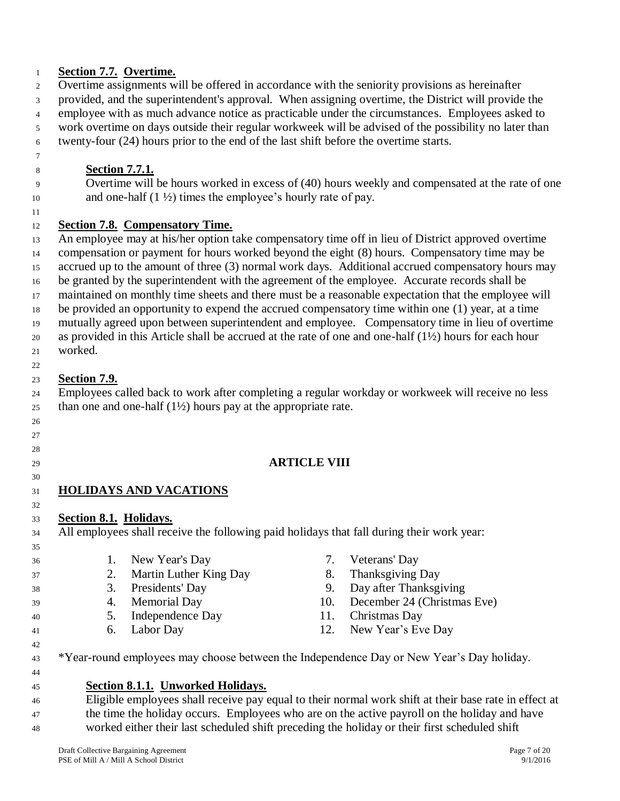#### **Section 7.7. Overtime.**

- Overtime assignments will be offered in accordance with the seniority provisions as hereinafter
- provided, and the superintendent's approval. When assigning overtime, the District will provide the
- employee with as much advance notice as practicable under the circumstances. Employees asked to
- work overtime on days outside their regular workweek will be advised of the possibility no later than
- twenty-four (24) hours prior to the end of the last shift before the overtime starts.
- 

 

# **Section 7.7.1.**

 Overtime will be hours worked in excess of (40) hours weekly and compensated at the rate of one 10 and one-half (1 ½) times the employee's hourly rate of pay.

#### **Section 7.8. Compensatory Time.**

 An employee may at his/her option take compensatory time off in lieu of District approved overtime compensation or payment for hours worked beyond the eight (8) hours. Compensatory time may be accrued up to the amount of three (3) normal work days. Additional accrued compensatory hours may be granted by the superintendent with the agreement of the employee. Accurate records shall be maintained on monthly time sheets and there must be a reasonable expectation that the employee will be provided an opportunity to expend the accrued compensatory time within one (1) year, at a time mutually agreed upon between superintendent and employee. Compensatory time in lieu of overtime as provided in this Article shall be accrued at the rate of one and one-half (1½) hours for each hour worked.

#### **Section 7.9.**

 Employees called back to work after completing a regular workday or workweek will receive no less 25 than one and one-half  $(1\frac{1}{2})$  hours pay at the appropriate rate.

#### **ARTICLE VIII**

#### **HOLIDAYS AND VACATIONS**

#### **Section 8.1. Holidays.**

All employees shall receive the following paid holidays that fall during their work year:

- 1. New Year's Day 7. Veterans' Day 2. Martin Luther King Day 8. Thanksgiving Day 3. Presidents' Day 9. Day after Thanksgiving 4. Memorial Day 10. December 24 (Christmas Eve)
- 5. Independence Day 11. Christmas Day
- 6. Labor Day 12. New Year's Eve Day
- 
- 
- 
- 
- -

<sup>43</sup> \*Year-round employees may choose between the Independence Day or New Year's Day holiday.

#### **Section 8.1.1. Unworked Holidays.**

 Eligible employees shall receive pay equal to their normal work shift at their base rate in effect at <sup>47</sup> the time the holiday occurs. Employees who are on the active payroll on the holiday and have worked either their last scheduled shift preceding the holiday or their first scheduled shift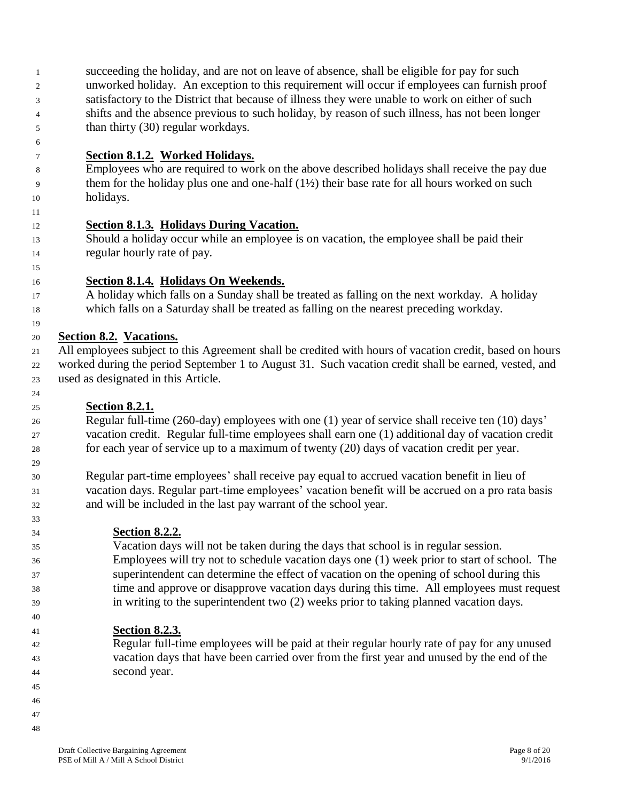succeeding the holiday, and are not on leave of absence, shall be eligible for pay for such unworked holiday. An exception to this requirement will occur if employees can furnish proof satisfactory to the District that because of illness they were unable to work on either of such shifts and the absence previous to such holiday, by reason of such illness, has not been longer than thirty (30) regular workdays.

**Section 8.1.2. Worked Holidays.**

 Employees who are required to work on the above described holidays shall receive the pay due them for the holiday plus one and one-half (1½) their base rate for all hours worked on such holidays.

- **Section 8.1.3. Holidays During Vacation.**
- Should a holiday occur while an employee is on vacation, the employee shall be paid their regular hourly rate of pay.
- 

- **Section 8.1.4. Holidays On Weekends.**
- A holiday which falls on a Sunday shall be treated as falling on the next workday. A holiday which falls on a Saturday shall be treated as falling on the nearest preceding workday.
- **Section 8.2. Vacations.**

 All employees subject to this Agreement shall be credited with hours of vacation credit, based on hours worked during the period September 1 to August 31. Such vacation credit shall be earned, vested, and used as designated in this Article.

**Section 8.2.1.**

 Regular full-time (260-day) employees with one (1) year of service shall receive ten (10) days' vacation credit. Regular full-time employees shall earn one (1) additional day of vacation credit for each year of service up to a maximum of twenty (20) days of vacation credit per year.

- Regular part-time employees' shall receive pay equal to accrued vacation benefit in lieu of vacation days. Regular part-time employees' vacation benefit will be accrued on a pro rata basis and will be included in the last pay warrant of the school year.
- **Section 8.2.2.** Vacation days will not be taken during the days that school is in regular session. Employees will try not to schedule vacation days one (1) week prior to start of school. The superintendent can determine the effect of vacation on the opening of school during this time and approve or disapprove vacation days during this time. All employees must request in writing to the superintendent two (2) weeks prior to taking planned vacation days.
- **Section 8.2.3.**
- Regular full-time employees will be paid at their regular hourly rate of pay for any unused vacation days that have been carried over from the first year and unused by the end of the second year.
- 
- 
-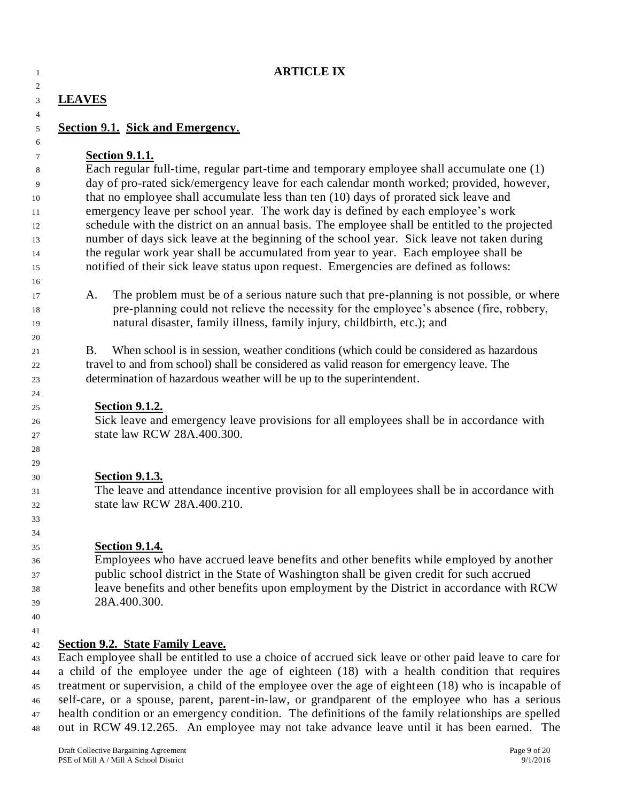|                                                                                      | <b>ARTICLE IX</b>                                                                                                  |  |  |  |  |
|--------------------------------------------------------------------------------------|--------------------------------------------------------------------------------------------------------------------|--|--|--|--|
| <b>LEAVES</b>                                                                        |                                                                                                                    |  |  |  |  |
|                                                                                      | <b>Section 9.1. Sick and Emergency.</b>                                                                            |  |  |  |  |
|                                                                                      |                                                                                                                    |  |  |  |  |
|                                                                                      | <b>Section 9.1.1.</b><br>Each regular full-time, regular part-time and temporary employee shall accumulate one (1) |  |  |  |  |
|                                                                                      | day of pro-rated sick/emergency leave for each calendar month worked; provided, however,                           |  |  |  |  |
|                                                                                      | that no employee shall accumulate less than ten (10) days of prorated sick leave and                               |  |  |  |  |
|                                                                                      | emergency leave per school year. The work day is defined by each employee's work                                   |  |  |  |  |
|                                                                                      | schedule with the district on an annual basis. The employee shall be entitled to the projected                     |  |  |  |  |
|                                                                                      | number of days sick leave at the beginning of the school year. Sick leave not taken during                         |  |  |  |  |
| the regular work year shall be accumulated from year to year. Each employee shall be |                                                                                                                    |  |  |  |  |
|                                                                                      | notified of their sick leave status upon request. Emergencies are defined as follows:                              |  |  |  |  |
| A.                                                                                   | The problem must be of a serious nature such that pre-planning is not possible, or where                           |  |  |  |  |
|                                                                                      | pre-planning could not relieve the necessity for the employee's absence (fire, robbery,                            |  |  |  |  |
|                                                                                      | natural disaster, family illness, family injury, childbirth, etc.); and                                            |  |  |  |  |
|                                                                                      |                                                                                                                    |  |  |  |  |
| <b>B.</b>                                                                            | When school is in session, weather conditions (which could be considered as hazardous                              |  |  |  |  |
|                                                                                      | travel to and from school) shall be considered as valid reason for emergency leave. The                            |  |  |  |  |
|                                                                                      | determination of hazardous weather will be up to the superintendent.                                               |  |  |  |  |
|                                                                                      | <b>Section 9.1.2.</b>                                                                                              |  |  |  |  |
|                                                                                      | Sick leave and emergency leave provisions for all employees shall be in accordance with                            |  |  |  |  |
|                                                                                      | state law RCW 28A.400.300.                                                                                         |  |  |  |  |
|                                                                                      |                                                                                                                    |  |  |  |  |
|                                                                                      | <b>Section 9.1.3.</b>                                                                                              |  |  |  |  |
|                                                                                      | The leave and attendance incentive provision for all employees shall be in accordance with                         |  |  |  |  |
|                                                                                      | state law RCW 28A.400.210.                                                                                         |  |  |  |  |
|                                                                                      |                                                                                                                    |  |  |  |  |
|                                                                                      | <b>Section 9.1.4.</b>                                                                                              |  |  |  |  |
|                                                                                      | Employees who have accrued leave benefits and other benefits while employed by another                             |  |  |  |  |
|                                                                                      | public school district in the State of Washington shall be given credit for such accrued                           |  |  |  |  |
|                                                                                      | leave benefits and other benefits upon employment by the District in accordance with RCW                           |  |  |  |  |
|                                                                                      | 28A.400.300.                                                                                                       |  |  |  |  |
|                                                                                      |                                                                                                                    |  |  |  |  |
|                                                                                      | <b>Section 9.2. State Family Leave.</b>                                                                            |  |  |  |  |
|                                                                                      | Each employee shall be entitled to use a choice of accrued sick leave or other paid leave to care for              |  |  |  |  |
|                                                                                      | a child of the employee under the age of eighteen (18) with a health condition that requires                       |  |  |  |  |
|                                                                                      | treatment or supervision, a child of the employee over the age of eighteen (18) who is incapable of                |  |  |  |  |
|                                                                                      | self-care, or a spouse, parent, parent-in-law, or grandparent of the employee who has a serious                    |  |  |  |  |

 health condition or an emergency condition. The definitions of the family relationships are spelled out in RCW 49.12.265. An employee may not take advance leave until it has been earned. The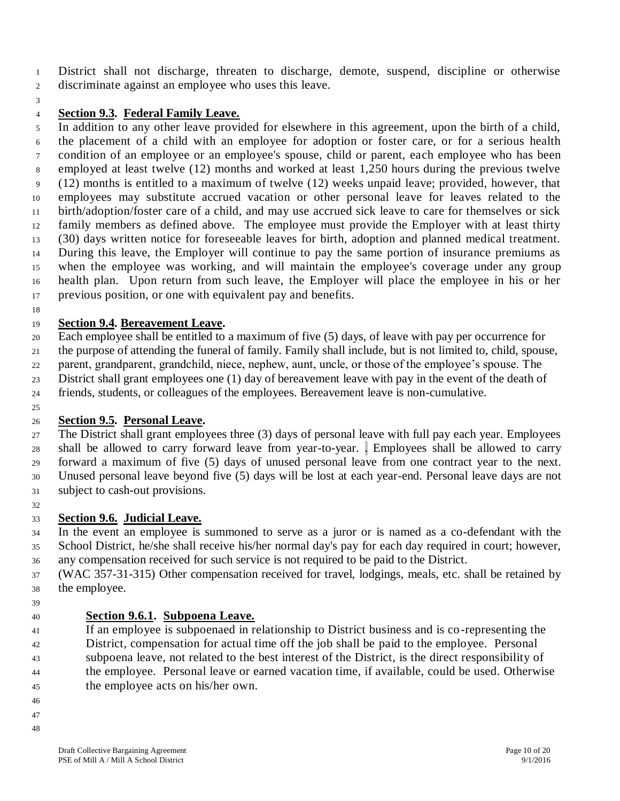District shall not discharge, threaten to discharge, demote, suspend, discipline or otherwise

- discriminate against an employee who uses this leave.
- 

#### **Section 9.3. Federal Family Leave.**

 In addition to any other leave provided for elsewhere in this agreement, upon the birth of a child, the placement of a child with an employee for adoption or foster care, or for a serious health condition of an employee or an employee's spouse, child or parent, each employee who has been employed at least twelve (12) months and worked at least 1,250 hours during the previous twelve (12) months is entitled to a maximum of twelve (12) weeks unpaid leave; provided, however, that employees may substitute accrued vacation or other personal leave for leaves related to the birth/adoption/foster care of a child, and may use accrued sick leave to care for themselves or sick family members as defined above. The employee must provide the Employer with at least thirty (30) days written notice for foreseeable leaves for birth, adoption and planned medical treatment. During this leave, the Employer will continue to pay the same portion of insurance premiums as when the employee was working, and will maintain the employee's coverage under any group health plan. Upon return from such leave, the Employer will place the employee in his or her previous position, or one with equivalent pay and benefits.

#### **Section 9.4. Bereavement Leave.**

 Each employee shall be entitled to a maximum of five (5) days, of leave with pay per occurrence for the purpose of attending the funeral of family. Family shall include, but is not limited to, child, spouse,

parent, grandparent, grandchild, niece, nephew, aunt, uncle, or those of the employee's spouse. The

District shall grant employees one (1) day of bereavement leave with pay in the event of the death of

friends, students, or colleagues of the employees. Bereavement leave is non-cumulative.

#### **Section 9.5. Personal Leave.**

 The District shall grant employees three (3) days of personal leave with full pay each year. Employees shall be allowed to carry forward leave from year-to-year. . Employees shall be allowed to carry forward a maximum of five (5) days of unused personal leave from one contract year to the next. Unused personal leave beyond five (5) days will be lost at each year-end. Personal leave days are not subject to cash-out provisions.

#### **Section 9.6. Judicial Leave.**

 In the event an employee is summoned to serve as a juror or is named as a co-defendant with the School District, he/she shall receive his/her normal day's pay for each day required in court; however, any compensation received for such service is not required to be paid to the District.

 (WAC 357-31-315) Other compensation received for travel, lodgings, meals, etc. shall be retained by the employee.

#### **Section 9.6.1. Subpoena Leave.**

 If an employee is subpoenaed in relationship to District business and is co-representing the District, compensation for actual time off the job shall be paid to the employee. Personal subpoena leave, not related to the best interest of the District, is the direct responsibility of the employee. Personal leave or earned vacation time, if available, could be used. Otherwise

- the employee acts on his/her own.
- 
-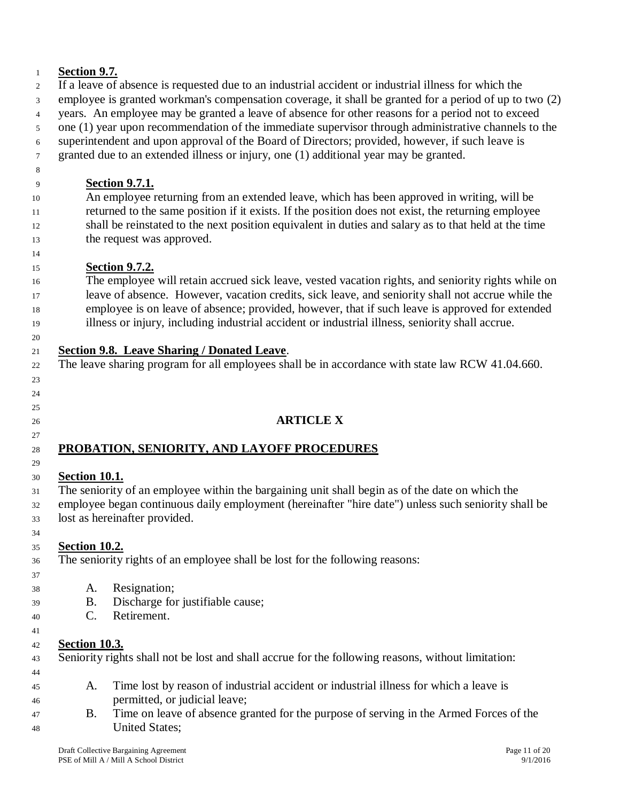#### **Section 9.7.**

 If a leave of absence is requested due to an industrial accident or industrial illness for which the employee is granted workman's compensation coverage, it shall be granted for a period of up to two (2) years. An employee may be granted a leave of absence for other reasons for a period not to exceed

 one (1) year upon recommendation of the immediate supervisor through administrative channels to the superintendent and upon approval of the Board of Directors; provided, however, if such leave is

granted due to an extended illness or injury, one (1) additional year may be granted.

# **Section 9.7.1.**

 An employee returning from an extended leave, which has been approved in writing, will be returned to the same position if it exists. If the position does not exist, the returning employee shall be reinstated to the next position equivalent in duties and salary as to that held at the time the request was approved.

#### **Section 9.7.2.**

 The employee will retain accrued sick leave, vested vacation rights, and seniority rights while on leave of absence. However, vacation credits, sick leave, and seniority shall not accrue while the employee is on leave of absence; provided, however, that if such leave is approved for extended illness or injury, including industrial accident or industrial illness, seniority shall accrue.

#### **Section 9.8. Leave Sharing / Donated Leave**.

The leave sharing program for all employees shall be in accordance with state law RCW 41.04.660.

#### 

# 

## **ARTICLE X**

# **PROBATION, SENIORITY, AND LAYOFF PROCEDURES**

#### **Section 10.1.**

The seniority of an employee within the bargaining unit shall begin as of the date on which the

 employee began continuous daily employment (hereinafter "hire date") unless such seniority shall be lost as hereinafter provided.

#### **Section 10.2.**

The seniority rights of an employee shall be lost for the following reasons:

- A. Resignation;
- B. Discharge for justifiable cause;
- C. Retirement.
- 

#### **Section 10.3.**

Seniority rights shall not be lost and shall accrue for the following reasons, without limitation:

- 
- A. Time lost by reason of industrial accident or industrial illness for which a leave is
- permitted, or judicial leave; B. Time on leave of absence granted for the purpose of serving in the Armed Forces of the United States;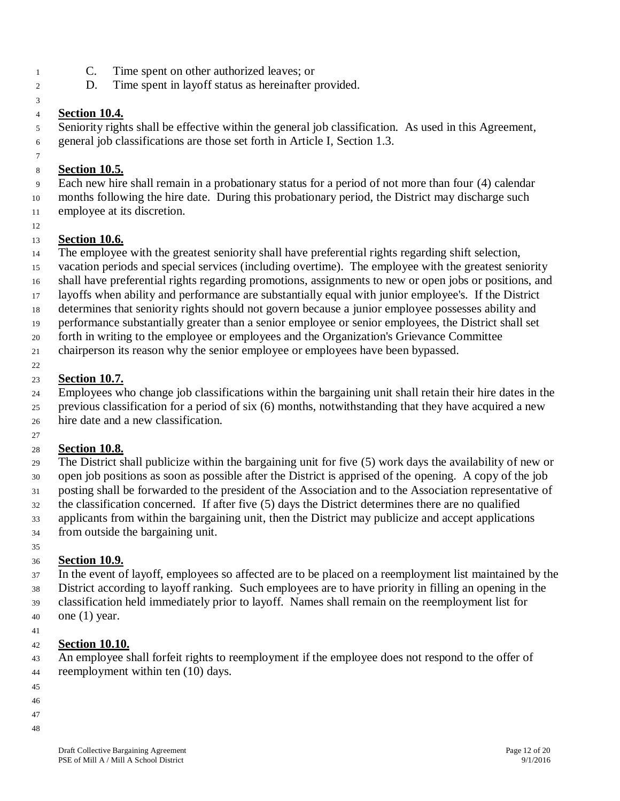- C. Time spent on other authorized leaves; or
- D. Time spent in layoff status as hereinafter provided.

#### **Section 10.4.**

 Seniority rights shall be effective within the general job classification. As used in this Agreement, general job classifications are those set forth in Article I, Section 1.3.

#### **Section 10.5.**

 Each new hire shall remain in a probationary status for a period of not more than four (4) calendar months following the hire date. During this probationary period, the District may discharge such

- employee at its discretion.
- 

#### **Section 10.6.**

The employee with the greatest seniority shall have preferential rights regarding shift selection,

vacation periods and special services (including overtime). The employee with the greatest seniority

- shall have preferential rights regarding promotions, assignments to new or open jobs or positions, and
- layoffs when ability and performance are substantially equal with junior employee's. If the District
- determines that seniority rights should not govern because a junior employee possesses ability and
- performance substantially greater than a senior employee or senior employees, the District shall set

forth in writing to the employee or employees and the Organization's Grievance Committee

chairperson its reason why the senior employee or employees have been bypassed.

#### **Section 10.7.**

Employees who change job classifications within the bargaining unit shall retain their hire dates in the

previous classification for a period of six (6) months, notwithstanding that they have acquired a new

hire date and a new classification.

#### **Section 10.8.**

 The District shall publicize within the bargaining unit for five (5) work days the availability of new or open job positions as soon as possible after the District is apprised of the opening. A copy of the job posting shall be forwarded to the president of the Association and to the Association representative of the classification concerned. If after five (5) days the District determines there are no qualified applicants from within the bargaining unit, then the District may publicize and accept applications from outside the bargaining unit.

#### **Section 10.9.**

 In the event of layoff, employees so affected are to be placed on a reemployment list maintained by the District according to layoff ranking. Such employees are to have priority in filling an opening in the classification held immediately prior to layoff. Names shall remain on the reemployment list for one (1) year.

#### **Section 10.10.**

 An employee shall forfeit rights to reemployment if the employee does not respond to the offer of reemployment within ten (10) days.

- 
- 
- 
-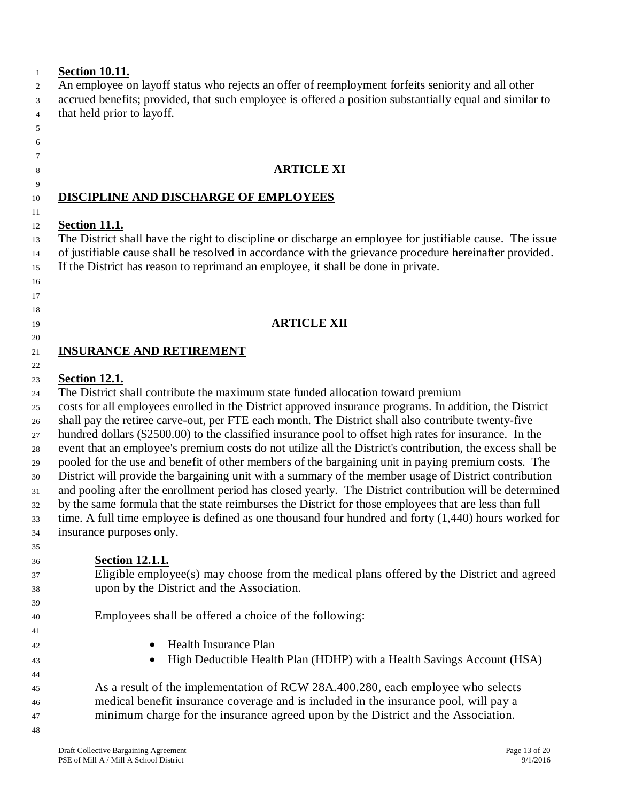| $\mathbf{1}$   | <b>Section 10.11.</b>                                                                                      |  |  |  |  |  |
|----------------|------------------------------------------------------------------------------------------------------------|--|--|--|--|--|
| 2              | An employee on layoff status who rejects an offer of reemployment forfeits seniority and all other         |  |  |  |  |  |
| 3              | accrued benefits; provided, that such employee is offered a position substantially equal and similar to    |  |  |  |  |  |
| $\overline{4}$ | that held prior to layoff.                                                                                 |  |  |  |  |  |
| 5              |                                                                                                            |  |  |  |  |  |
| 6              |                                                                                                            |  |  |  |  |  |
| 7              |                                                                                                            |  |  |  |  |  |
| 8              | <b>ARTICLE XI</b>                                                                                          |  |  |  |  |  |
| 9              |                                                                                                            |  |  |  |  |  |
| 10             | DISCIPLINE AND DISCHARGE OF EMPLOYEES                                                                      |  |  |  |  |  |
| 11             |                                                                                                            |  |  |  |  |  |
| 12             | <b>Section 11.1.</b>                                                                                       |  |  |  |  |  |
| 13             | The District shall have the right to discipline or discharge an employee for justifiable cause. The issue  |  |  |  |  |  |
| 14             | of justifiable cause shall be resolved in accordance with the grievance procedure hereinafter provided.    |  |  |  |  |  |
| 15             | If the District has reason to reprimand an employee, it shall be done in private.                          |  |  |  |  |  |
| 16             |                                                                                                            |  |  |  |  |  |
| 17             |                                                                                                            |  |  |  |  |  |
| 18             |                                                                                                            |  |  |  |  |  |
| 19             | <b>ARTICLE XII</b>                                                                                         |  |  |  |  |  |
| 20             |                                                                                                            |  |  |  |  |  |
| 21             | <b>INSURANCE AND RETIREMENT</b>                                                                            |  |  |  |  |  |
| 22             |                                                                                                            |  |  |  |  |  |
| 23             | <b>Section 12.1.</b>                                                                                       |  |  |  |  |  |
| 24             | The District shall contribute the maximum state funded allocation toward premium                           |  |  |  |  |  |
| 25             | costs for all employees enrolled in the District approved insurance programs. In addition, the District    |  |  |  |  |  |
| 26             | shall pay the retiree carve-out, per FTE each month. The District shall also contribute twenty-five        |  |  |  |  |  |
| 27             | hundred dollars (\$2500.00) to the classified insurance pool to offset high rates for insurance. In the    |  |  |  |  |  |
| 28             | event that an employee's premium costs do not utilize all the District's contribution, the excess shall be |  |  |  |  |  |
| 29             | pooled for the use and benefit of other members of the bargaining unit in paying premium costs. The        |  |  |  |  |  |
| 30             | District will provide the bargaining unit with a summary of the member usage of District contribution      |  |  |  |  |  |
| 31             | and pooling after the enrollment period has closed yearly. The District contribution will be determined    |  |  |  |  |  |
| 32             | by the same formula that the state reimburses the District for those employees that are less than full     |  |  |  |  |  |
| 33             | time. A full time employee is defined as one thousand four hundred and forty $(1,440)$ hours worked for    |  |  |  |  |  |
| 34             | insurance purposes only.                                                                                   |  |  |  |  |  |
| 35             |                                                                                                            |  |  |  |  |  |
| 36             | <b>Section 12.1.1.</b>                                                                                     |  |  |  |  |  |
| 37             | Eligible employee(s) may choose from the medical plans offered by the District and agreed                  |  |  |  |  |  |
| 38             | upon by the District and the Association.                                                                  |  |  |  |  |  |
| 39             |                                                                                                            |  |  |  |  |  |
| 40             | Employees shall be offered a choice of the following:                                                      |  |  |  |  |  |
| 41             |                                                                                                            |  |  |  |  |  |
| 42             | <b>Health Insurance Plan</b>                                                                               |  |  |  |  |  |
| 43             | High Deductible Health Plan (HDHP) with a Health Savings Account (HSA)                                     |  |  |  |  |  |
| 44             |                                                                                                            |  |  |  |  |  |
| 45             | As a result of the implementation of RCW 28A.400.280, each employee who selects                            |  |  |  |  |  |
| 46             | medical benefit insurance coverage and is included in the insurance pool, will pay a                       |  |  |  |  |  |
| 47             | minimum charge for the insurance agreed upon by the District and the Association.                          |  |  |  |  |  |
| 48             |                                                                                                            |  |  |  |  |  |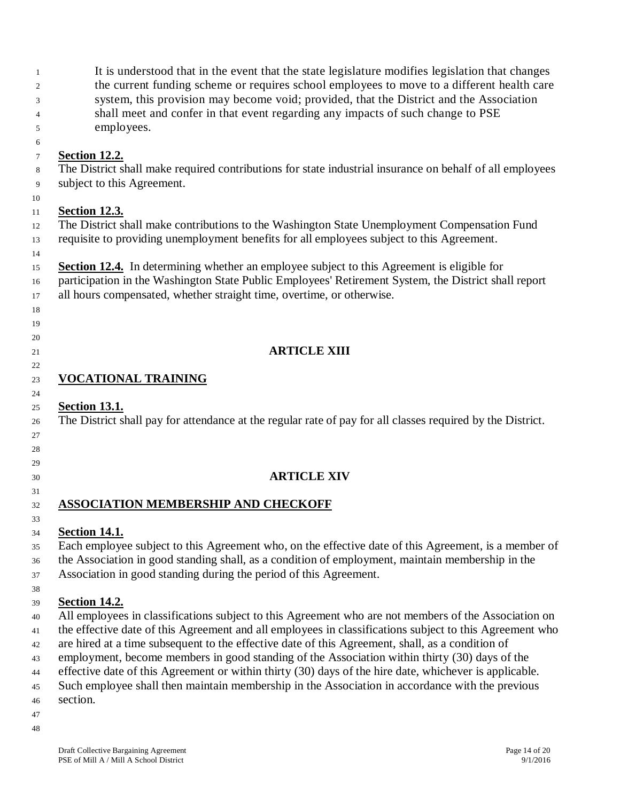| 1<br>2<br>3<br>4<br>5                        | It is understood that in the event that the state legislature modifies legislation that changes<br>the current funding scheme or requires school employees to move to a different health care<br>system, this provision may become void; provided, that the District and the Association<br>shall meet and confer in that event regarding any impacts of such change to PSE<br>employees.                                                                                                                                                                                                                                                                             |
|----------------------------------------------|-----------------------------------------------------------------------------------------------------------------------------------------------------------------------------------------------------------------------------------------------------------------------------------------------------------------------------------------------------------------------------------------------------------------------------------------------------------------------------------------------------------------------------------------------------------------------------------------------------------------------------------------------------------------------|
| 6<br>7<br>8<br>9<br>10                       | <b>Section 12.2.</b><br>The District shall make required contributions for state industrial insurance on behalf of all employees<br>subject to this Agreement.                                                                                                                                                                                                                                                                                                                                                                                                                                                                                                        |
| 11<br>12<br>13<br>14                         | <b>Section 12.3.</b><br>The District shall make contributions to the Washington State Unemployment Compensation Fund<br>requisite to providing unemployment benefits for all employees subject to this Agreement.                                                                                                                                                                                                                                                                                                                                                                                                                                                     |
| 15<br>16<br>17<br>18<br>19                   | <b>Section 12.4.</b> In determining whether an employee subject to this Agreement is eligible for<br>participation in the Washington State Public Employees' Retirement System, the District shall report<br>all hours compensated, whether straight time, overtime, or otherwise.                                                                                                                                                                                                                                                                                                                                                                                    |
| 20<br>21                                     | <b>ARTICLE XIII</b>                                                                                                                                                                                                                                                                                                                                                                                                                                                                                                                                                                                                                                                   |
| 22<br>23<br>24                               | <b>VOCATIONAL TRAINING</b>                                                                                                                                                                                                                                                                                                                                                                                                                                                                                                                                                                                                                                            |
| 25<br>26<br>27<br>28                         | <b>Section 13.1.</b><br>The District shall pay for attendance at the regular rate of pay for all classes required by the District.                                                                                                                                                                                                                                                                                                                                                                                                                                                                                                                                    |
| 29<br>30                                     | <b>ARTICLE XIV</b>                                                                                                                                                                                                                                                                                                                                                                                                                                                                                                                                                                                                                                                    |
| 31<br>32<br>33                               | <b>ASSOCIATION MEMBERSHIP AND CHECKOFF</b>                                                                                                                                                                                                                                                                                                                                                                                                                                                                                                                                                                                                                            |
| 34<br>35<br>36<br>37<br>38                   | <b>Section 14.1.</b><br>Each employee subject to this Agreement who, on the effective date of this Agreement, is a member of<br>the Association in good standing shall, as a condition of employment, maintain membership in the<br>Association in good standing during the period of this Agreement.                                                                                                                                                                                                                                                                                                                                                                 |
| 39<br>40<br>41<br>42<br>43<br>44<br>45<br>46 | <b>Section 14.2.</b><br>All employees in classifications subject to this Agreement who are not members of the Association on<br>the effective date of this Agreement and all employees in classifications subject to this Agreement who<br>are hired at a time subsequent to the effective date of this Agreement, shall, as a condition of<br>employment, become members in good standing of the Association within thirty (30) days of the<br>effective date of this Agreement or within thirty (30) days of the hire date, whichever is applicable.<br>Such employee shall then maintain membership in the Association in accordance with the previous<br>section. |
| 47                                           |                                                                                                                                                                                                                                                                                                                                                                                                                                                                                                                                                                                                                                                                       |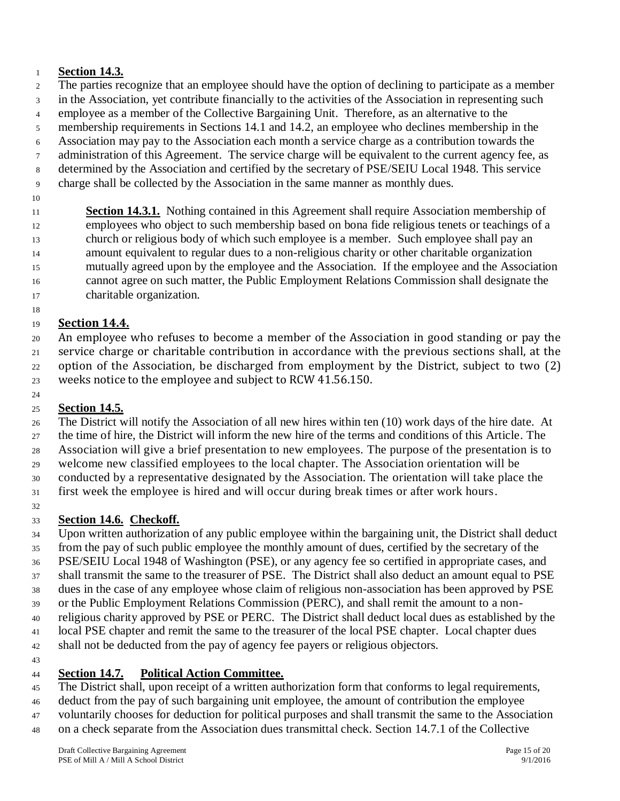#### **Section 14.3.**

The parties recognize that an employee should have the option of declining to participate as a member

in the Association, yet contribute financially to the activities of the Association in representing such

employee as a member of the Collective Bargaining Unit. Therefore, as an alternative to the

- membership requirements in Sections 14.1 and 14.2, an employee who declines membership in the
- Association may pay to the Association each month a service charge as a contribution towards the
- administration of this Agreement. The service charge will be equivalent to the current agency fee, as determined by the Association and certified by the secretary of PSE/SEIU Local 1948. This service
- charge shall be collected by the Association in the same manner as monthly dues.
- 

**Section 14.3.1.** Nothing contained in this Agreement shall require Association membership of employees who object to such membership based on bona fide religious tenets or teachings of a church or religious body of which such employee is a member. Such employee shall pay an amount equivalent to regular dues to a non-religious charity or other charitable organization mutually agreed upon by the employee and the Association. If the employee and the Association cannot agree on such matter, the Public Employment Relations Commission shall designate the charitable organization.

**Section 14.4.**

 An employee who refuses to become a member of the Association in good standing or pay the service charge or charitable contribution in accordance with the previous sections shall, at the option of the Association, be discharged from employment by the District, subject to two (2) weeks notice to the employee and subject to RCW 41.56.150.

#### 

# **Section 14.5.**

 The District will notify the Association of all new hires within ten (10) work days of the hire date. At the time of hire, the District will inform the new hire of the terms and conditions of this Article. The Association will give a brief presentation to new employees. The purpose of the presentation is to welcome new classified employees to the local chapter. The Association orientation will be conducted by a representative designated by the Association. The orientation will take place the first week the employee is hired and will occur during break times or after work hours. 

**Section 14.6. Checkoff.**

 Upon written authorization of any public employee within the bargaining unit, the District shall deduct from the pay of such public employee the monthly amount of dues, certified by the secretary of the PSE/SEIU Local 1948 of Washington (PSE), or any agency fee so certified in appropriate cases, and shall transmit the same to the treasurer of PSE. The District shall also deduct an amount equal to PSE dues in the case of any employee whose claim of religious non-association has been approved by PSE or the Public Employment Relations Commission (PERC), and shall remit the amount to a non- religious charity approved by PSE or PERC. The District shall deduct local dues as established by the local PSE chapter and remit the same to the treasurer of the local PSE chapter. Local chapter dues shall not be deducted from the pay of agency fee payers or religious objectors. 

**Section 14.7. Political Action Committee.** 

 The District shall, upon receipt of a written authorization form that conforms to legal requirements, deduct from the pay of such bargaining unit employee, the amount of contribution the employee voluntarily chooses for deduction for political purposes and shall transmit the same to the Association on a check separate from the Association dues transmittal check. Section 14.7.1 of the Collective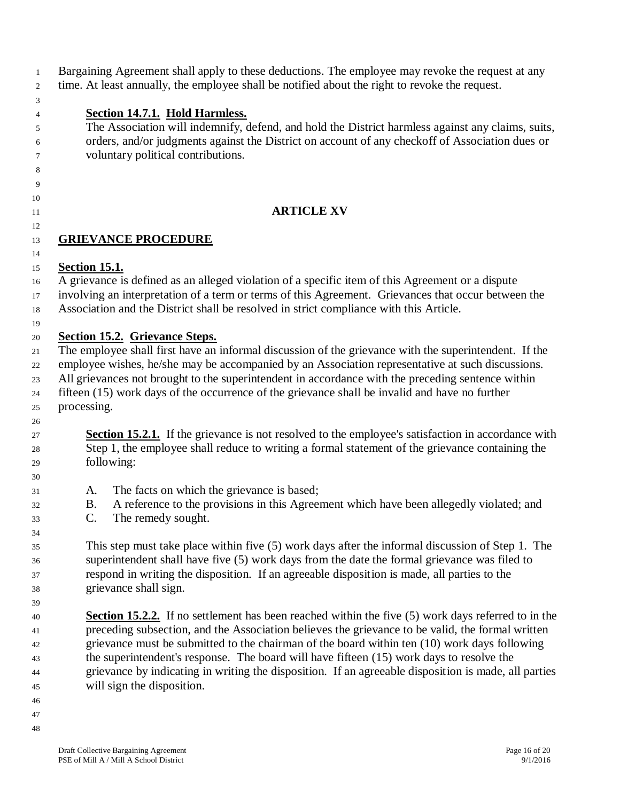| $\mathbf{1}$   | Bargaining Agreement shall apply to these deductions. The employee may revoke the request at any                                                                                                    |  |  |  |  |  |  |
|----------------|-----------------------------------------------------------------------------------------------------------------------------------------------------------------------------------------------------|--|--|--|--|--|--|
| $\overline{c}$ | time. At least annually, the employee shall be notified about the right to revoke the request.                                                                                                      |  |  |  |  |  |  |
| 3              |                                                                                                                                                                                                     |  |  |  |  |  |  |
| 4              | <b>Section 14.7.1. Hold Harmless.</b><br>The Association will indemnify, defend, and hold the District harmless against any claims, suits,                                                          |  |  |  |  |  |  |
| 5              | orders, and/or judgments against the District on account of any checkoff of Association dues or                                                                                                     |  |  |  |  |  |  |
| 6<br>7         | voluntary political contributions.                                                                                                                                                                  |  |  |  |  |  |  |
| 8              |                                                                                                                                                                                                     |  |  |  |  |  |  |
| 9              |                                                                                                                                                                                                     |  |  |  |  |  |  |
| 10             |                                                                                                                                                                                                     |  |  |  |  |  |  |
| 11             | <b>ARTICLE XV</b>                                                                                                                                                                                   |  |  |  |  |  |  |
| 12             |                                                                                                                                                                                                     |  |  |  |  |  |  |
| 13             | <b>GRIEVANCE PROCEDURE</b>                                                                                                                                                                          |  |  |  |  |  |  |
| 14             |                                                                                                                                                                                                     |  |  |  |  |  |  |
| 15             | <b><u>Section 15.1.</u></b>                                                                                                                                                                         |  |  |  |  |  |  |
| 16             | A grievance is defined as an alleged violation of a specific item of this Agreement or a dispute                                                                                                    |  |  |  |  |  |  |
| 17             | involving an interpretation of a term or terms of this Agreement. Grievances that occur between the                                                                                                 |  |  |  |  |  |  |
| 18             | Association and the District shall be resolved in strict compliance with this Article.                                                                                                              |  |  |  |  |  |  |
| 19             |                                                                                                                                                                                                     |  |  |  |  |  |  |
| 20             | <b>Section 15.2. Grievance Steps.</b>                                                                                                                                                               |  |  |  |  |  |  |
| 21             | The employee shall first have an informal discussion of the grievance with the superintendent. If the                                                                                               |  |  |  |  |  |  |
| 22             | employee wishes, he/she may be accompanied by an Association representative at such discussions.                                                                                                    |  |  |  |  |  |  |
| 23             | All grievances not brought to the superintendent in accordance with the preceding sentence within<br>fifteen (15) work days of the occurrence of the grievance shall be invalid and have no further |  |  |  |  |  |  |
| 24             | processing.                                                                                                                                                                                         |  |  |  |  |  |  |
| 25<br>26       |                                                                                                                                                                                                     |  |  |  |  |  |  |
| 27             | <b>Section 15.2.1.</b> If the grievance is not resolved to the employee's satisfaction in accordance with                                                                                           |  |  |  |  |  |  |
| 28             | Step 1, the employee shall reduce to writing a formal statement of the grievance containing the                                                                                                     |  |  |  |  |  |  |
| 29             | following:                                                                                                                                                                                          |  |  |  |  |  |  |
| 30             |                                                                                                                                                                                                     |  |  |  |  |  |  |
| 31             | The facts on which the grievance is based;<br>A.                                                                                                                                                    |  |  |  |  |  |  |
| 32             | A reference to the provisions in this Agreement which have been allegedly violated; and<br><b>B.</b>                                                                                                |  |  |  |  |  |  |
| 33             | $\mathbf{C}$ .<br>The remedy sought.                                                                                                                                                                |  |  |  |  |  |  |
| 34             |                                                                                                                                                                                                     |  |  |  |  |  |  |
| 35             | This step must take place within five (5) work days after the informal discussion of Step 1. The                                                                                                    |  |  |  |  |  |  |
| 36             | superintendent shall have five (5) work days from the date the formal grievance was filed to                                                                                                        |  |  |  |  |  |  |
| 37             | respond in writing the disposition. If an agreeable disposition is made, all parties to the                                                                                                         |  |  |  |  |  |  |
| 38             | grievance shall sign.                                                                                                                                                                               |  |  |  |  |  |  |
| 39             |                                                                                                                                                                                                     |  |  |  |  |  |  |
| 40             | <b>Section 15.2.2.</b> If no settlement has been reached within the five (5) work days referred to in the                                                                                           |  |  |  |  |  |  |
| 41             | preceding subsection, and the Association believes the grievance to be valid, the formal written                                                                                                    |  |  |  |  |  |  |
| 42             | grievance must be submitted to the chairman of the board within ten (10) work days following                                                                                                        |  |  |  |  |  |  |
| 43             | the superintendent's response. The board will have fifteen (15) work days to resolve the                                                                                                            |  |  |  |  |  |  |
| 44             | grievance by indicating in writing the disposition. If an agreeable disposition is made, all parties<br>will sign the disposition.                                                                  |  |  |  |  |  |  |
| 45<br>46       |                                                                                                                                                                                                     |  |  |  |  |  |  |
|                |                                                                                                                                                                                                     |  |  |  |  |  |  |

- 
-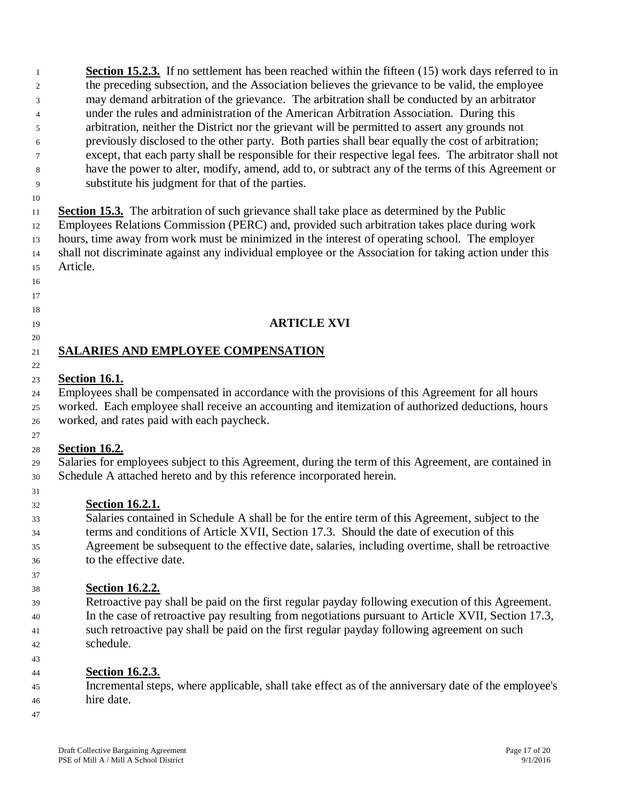**Section 15.2.3.** If no settlement has been reached within the fifteen (15) work days referred to in the preceding subsection, and the Association believes the grievance to be valid, the employee may demand arbitration of the grievance. The arbitration shall be conducted by an arbitrator under the rules and administration of the American Arbitration Association. During this arbitration, neither the District nor the grievant will be permitted to assert any grounds not previously disclosed to the other party. Both parties shall bear equally the cost of arbitration; except, that each party shall be responsible for their respective legal fees. The arbitrator shall not have the power to alter, modify, amend, add to, or subtract any of the terms of this Agreement or substitute his judgment for that of the parties.

 **Section 15.3.** The arbitration of such grievance shall take place as determined by the Public Employees Relations Commission (PERC) and, provided such arbitration takes place during work hours, time away from work must be minimized in the interest of operating school. The employer shall not discriminate against any individual employee or the Association for taking action under this Article.

# 

#### 

### **ARTICLE XVI**

#### **SALARIES AND EMPLOYEE COMPENSATION**

#### **Section 16.1.**

 Employees shall be compensated in accordance with the provisions of this Agreement for all hours worked. Each employee shall receive an accounting and itemization of authorized deductions, hours worked, and rates paid with each paycheck.

#### **Section 16.2.**

 Salaries for employees subject to this Agreement, during the term of this Agreement, are contained in Schedule A attached hereto and by this reference incorporated herein.

# **Section 16.2.1.**

 Salaries contained in Schedule A shall be for the entire term of this Agreement, subject to the terms and conditions of Article XVII, Section 17.3. Should the date of execution of this Agreement be subsequent to the effective date, salaries, including overtime, shall be retroactive to the effective date.

#### **Section 16.2.2.**

 Retroactive pay shall be paid on the first regular payday following execution of this Agreement. In the case of retroactive pay resulting from negotiations pursuant to Article XVII, Section 17.3, such retroactive pay shall be paid on the first regular payday following agreement on such schedule.

 **Section 16.2.3.**

 Incremental steps, where applicable, shall take effect as of the anniversary date of the employee's hire date.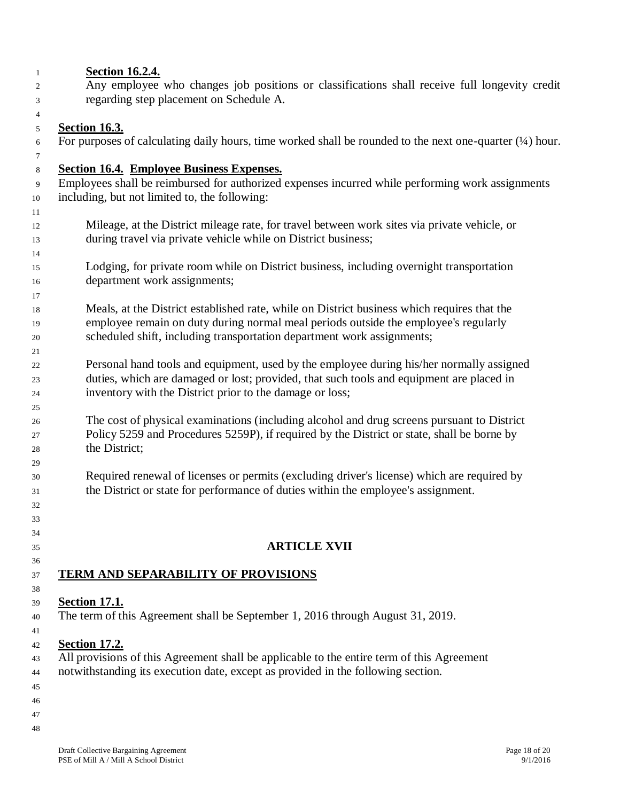| <b>Section 16.2.4.</b>                                                                                      |
|-------------------------------------------------------------------------------------------------------------|
| Any employee who changes job positions or classifications shall receive full longevity credit               |
| regarding step placement on Schedule A.                                                                     |
|                                                                                                             |
| <b>Section 16.3.</b>                                                                                        |
| For purposes of calculating daily hours, time worked shall be rounded to the next one-quarter $(1/4)$ hour. |
|                                                                                                             |
| <b>Section 16.4. Employee Business Expenses.</b>                                                            |
| Employees shall be reimbursed for authorized expenses incurred while performing work assignments            |
| including, but not limited to, the following:                                                               |
|                                                                                                             |
| Mileage, at the District mileage rate, for travel between work sites via private vehicle, or                |
| during travel via private vehicle while on District business;                                               |
|                                                                                                             |
| Lodging, for private room while on District business, including overnight transportation                    |
| department work assignments;                                                                                |
|                                                                                                             |
| Meals, at the District established rate, while on District business which requires that the                 |
| employee remain on duty during normal meal periods outside the employee's regularly                         |
| scheduled shift, including transportation department work assignments;                                      |
|                                                                                                             |
| Personal hand tools and equipment, used by the employee during his/her normally assigned                    |
| duties, which are damaged or lost; provided, that such tools and equipment are placed in                    |
| inventory with the District prior to the damage or loss;                                                    |
| The cost of physical examinations (including alcohol and drug screens pursuant to District                  |
| Policy 5259 and Procedures 5259P), if required by the District or state, shall be borne by                  |
| the District;                                                                                               |
|                                                                                                             |
| Required renewal of licenses or permits (excluding driver's license) which are required by                  |
| the District or state for performance of duties within the employee's assignment.                           |
|                                                                                                             |
|                                                                                                             |
|                                                                                                             |
| <b>ARTICLE XVII</b>                                                                                         |
|                                                                                                             |
| <b>TERM AND SEPARABILITY OF PROVISIONS</b>                                                                  |
|                                                                                                             |
| <b>Section 17.1.</b>                                                                                        |
| The term of this Agreement shall be September 1, 2016 through August 31, 2019.                              |
|                                                                                                             |
| <b>Section 17.2.</b>                                                                                        |
| All provisions of this Agreement shall be applicable to the entire term of this Agreement                   |
| notwithstanding its execution date, except as provided in the following section.                            |
|                                                                                                             |
|                                                                                                             |
|                                                                                                             |
|                                                                                                             |
|                                                                                                             |
|                                                                                                             |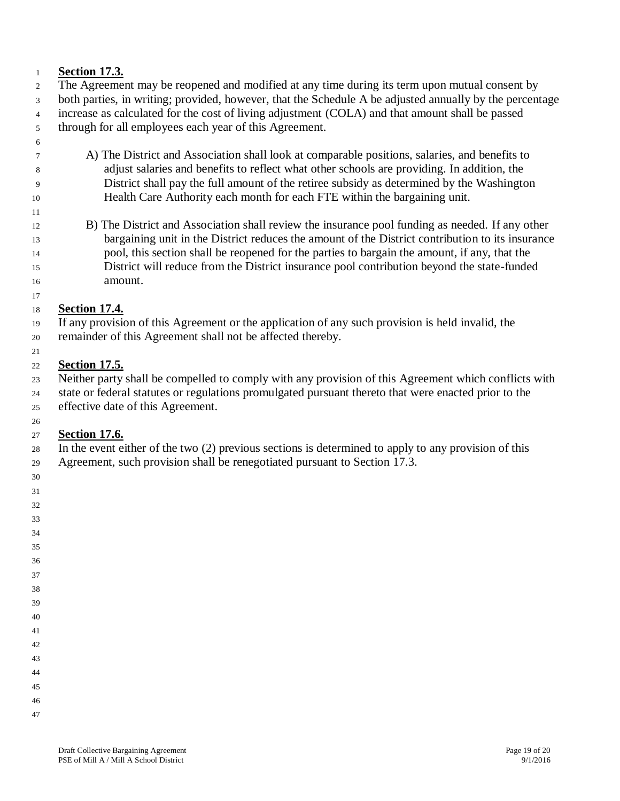#### **Section 17.3.**

- The Agreement may be reopened and modified at any time during its term upon mutual consent by both parties, in writing; provided, however, that the Schedule A be adjusted annually by the percentage increase as calculated for the cost of living adjustment (COLA) and that amount shall be passed through for all employees each year of this Agreement.
- 

- A) The District and Association shall look at comparable positions, salaries, and benefits to adjust salaries and benefits to reflect what other schools are providing. In addition, the District shall pay the full amount of the retiree subsidy as determined by the Washington Health Care Authority each month for each FTE within the bargaining unit.
- B) The District and Association shall review the insurance pool funding as needed. If any other 13 bargaining unit in the District reduces the amount of the District contribution to its insurance pool, this section shall be reopened for the parties to bargain the amount, if any, that the District will reduce from the District insurance pool contribution beyond the state-funded amount.

#### **Section 17.4.**

 If any provision of this Agreement or the application of any such provision is held invalid, the remainder of this Agreement shall not be affected thereby.

#### **Section 17.5.**

 Neither party shall be compelled to comply with any provision of this Agreement which conflicts with state or federal statutes or regulations promulgated pursuant thereto that were enacted prior to the effective date of this Agreement.

#### **Section 17.6.**

In the event either of the two (2) previous sections is determined to apply to any provision of this

- Agreement, such provision shall be renegotiated pursuant to Section 17.3.
- 

- 
- 
- 
- 
- 
- 
- 
- 
- 
- 
- 
- 
- 
-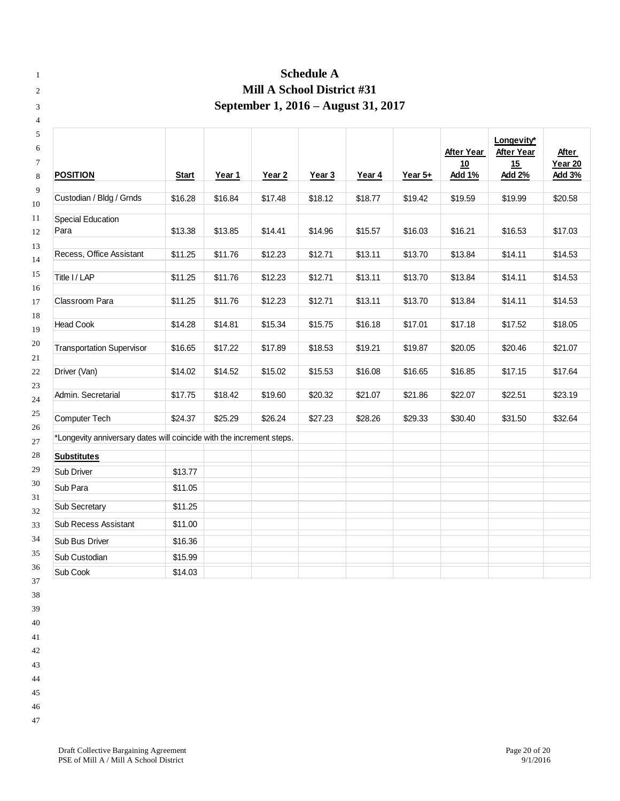| <b>Schedule A</b>                                                    |              |         |                            |                   |         |           |                                   |                                                        |                                          |
|----------------------------------------------------------------------|--------------|---------|----------------------------|-------------------|---------|-----------|-----------------------------------|--------------------------------------------------------|------------------------------------------|
|                                                                      |              |         | Mill A School District #31 |                   |         |           |                                   |                                                        |                                          |
| September 1, 2016 – August 31, 2017                                  |              |         |                            |                   |         |           |                                   |                                                        |                                          |
| <b>POSITION</b>                                                      | <b>Start</b> | Year 1  | Year <sub>2</sub>          | Year <sub>3</sub> | Year 4  | Year $5+$ | After Year<br>10<br><b>Add 1%</b> | Longevity*<br><b>After Year</b><br>15<br><b>Add 2%</b> | After<br><b>Year 20</b><br><b>Add 3%</b> |
|                                                                      |              |         |                            |                   |         |           |                                   |                                                        |                                          |
| Custodian / Bldg / Grnds                                             | \$16.28      | \$16.84 | \$17.48                    | \$18.12           | \$18.77 | \$19.42   | \$19.59                           | \$19.99                                                | \$20.58                                  |
| <b>Special Education</b><br>Para                                     | \$13.38      | \$13.85 | \$14.41                    | \$14.96           | \$15.57 | \$16.03   | \$16.21                           | \$16.53                                                | \$17.03                                  |
| Recess, Office Assistant                                             | \$11.25      | \$11.76 | \$12.23                    | \$12.71           | \$13.11 | \$13.70   | \$13.84                           | \$14.11                                                | \$14.53                                  |
| Title I / LAP                                                        | \$11.25      | \$11.76 | \$12.23                    | \$12.71           | \$13.11 | \$13.70   | \$13.84                           | \$14.11                                                | \$14.53                                  |
|                                                                      |              |         |                            |                   |         |           |                                   |                                                        |                                          |
| Classroom Para                                                       | \$11.25      | \$11.76 | \$12.23                    | \$12.71           | \$13.11 | \$13.70   | \$13.84                           | \$14.11                                                | \$14.53                                  |
| <b>Head Cook</b>                                                     | \$14.28      | \$14.81 | \$15.34                    | \$15.75           | \$16.18 | \$17.01   | \$17.18                           | \$17.52                                                | \$18.05                                  |
| <b>Transportation Supervisor</b>                                     | \$16.65      | \$17.22 | \$17.89                    | \$18.53           | \$19.21 | \$19.87   | \$20.05                           | \$20.46                                                | \$21.07                                  |
| Driver (Van)                                                         | \$14.02      | \$14.52 | \$15.02                    | \$15.53           | \$16.08 | \$16.65   | \$16.85                           | \$17.15                                                | \$17.64                                  |
| Admin. Secretarial                                                   | \$17.75      | \$18.42 | \$19.60                    | \$20.32           | \$21.07 | \$21.86   | \$22.07                           | \$22.51                                                | \$23.19                                  |
| Computer Tech                                                        | \$24.37      | \$25.29 | \$26.24                    | \$27.23           | \$28.26 | \$29.33   | \$30.40                           | \$31.50                                                | \$32.64                                  |
| *Longevity anniversary dates will coincide with the increment steps. |              |         |                            |                   |         |           |                                   |                                                        |                                          |
| <b>Substitutes</b>                                                   |              |         |                            |                   |         |           |                                   |                                                        |                                          |
| Sub Driver                                                           | \$13.77      |         |                            |                   |         |           |                                   |                                                        |                                          |
| Sub Para                                                             | \$11.05      |         |                            |                   |         |           |                                   |                                                        |                                          |
| Sub Secretary                                                        | \$11.25      |         |                            |                   |         |           |                                   |                                                        |                                          |
| Sub Recess Assistant                                                 | \$11.00      |         |                            |                   |         |           |                                   |                                                        |                                          |
| Sub Bus Driver                                                       | \$16.36      |         |                            |                   |         |           |                                   |                                                        |                                          |
| Sub Custodian                                                        | \$15.99      |         |                            |                   |         |           |                                   |                                                        |                                          |
| Sub Cook                                                             | \$14.03      |         |                            |                   |         |           |                                   |                                                        |                                          |

- 
- 
- 
- 
- 
- 
- 
- 
-